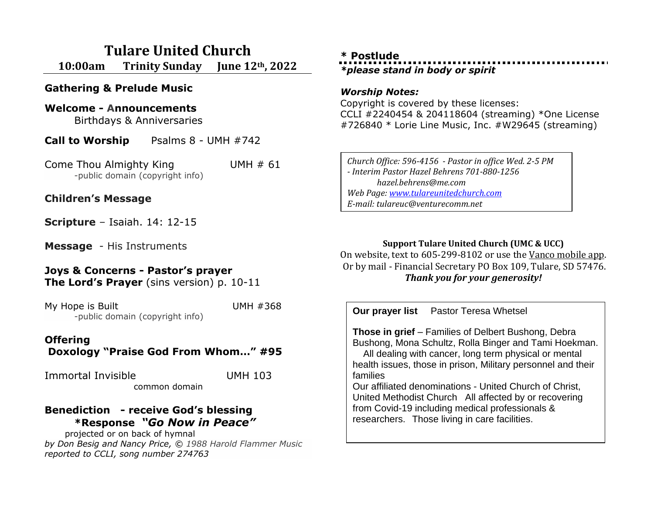# **Tulare United Church 10:00am Trinity Sunday June 12th, 2022**

**Gathering & Prelude Music**

#### **Welcome - Announcements**

Birthdays & Anniversaries

**Call to Worship** Psalms 8 - UMH #742

Come Thou Almighty King UMH # 61 -public domain (copyright info)

### **Children's Message**

**Scripture** – Isaiah. 14: 12-15

**Message** - His Instruments

# **Joys & Concerns - Pastor's prayer**

**The Lord's Prayer** (sins version) p. 10-11

My Hope is Built UMH #368 -public domain (copyright info)

# **Offering**

**Doxology "Praise God From Whom…" #95**

Immortal Invisible UMH 103 common domain

### **Benediction - receive God's blessing \*Response** *"Go Now in Peace"*

projected or on back of hymnal *by Don Besig and Nancy Price, © 1988 Harold Flammer Music reported to CCLI, song number 274763*

## **\* Postlude** *\*please stand in body or spirit*

#### *Worship Notes:*

Copyright is covered by these licenses: CCLI #2240454 & 204118604 (streaming) \*One License #726840 \* Lorie Line Music, Inc. #W29645 (streaming)

*Church Office: 596-4156 - Pastor in office Wed. 2-5 PM - Interim Pastor Hazel Behrens 701-880-1256 hazel.behrens@me.com Web Page[: www.tulareunitedchurch.com](http://www.tulareunitedchurch.com/) E-mail: tulareuc@venturecomm.net*

#### **Support Tulare United Church (UMC & UCC)**

On website, text to 605-299-8102 or use the Vanco mobile app. Or by mail - Financial Secretary PO Box 109, Tulare, SD 57476. *Thank you for your generosity!*

**Our prayer list** Pastor Teresa Whetsel **Those in grief** – Families of Delbert Bushong, Debra Bushong, Mona Schultz, Rolla Binger and Tami Hoekman. All dealing with cancer, long term physical or mental health issues, those in prison, Military personnel and their families Our affiliated denominations - United Church of Christ, United Methodist Church All affected by or recovering from Covid-19 including medical professionals & researchers. Those living in care facilities.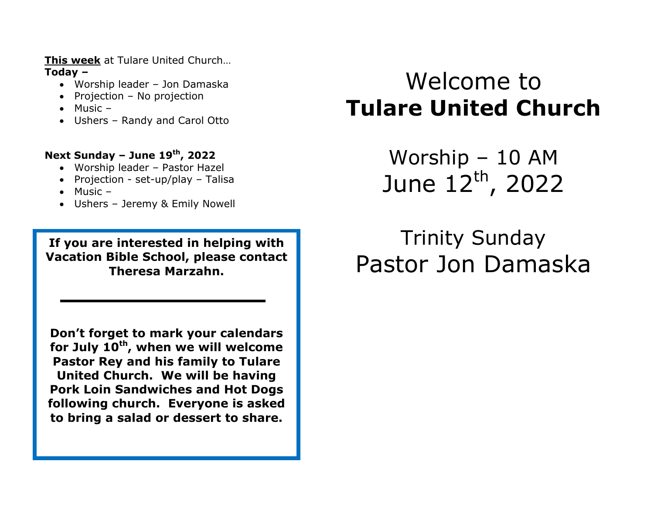**This week** at Tulare United Church… **Today –**

- Worship leader Jon Damaska
- Projection No projection
- $\bullet$  Music –
- Ushers Randy and Carol Otto

## **Next Sunday – June 19 th, 2022**

- Worship leader Pastor Hazel
- Projection set-up/play Talisa
- $\bullet$  Music –
- Ushers Jeremy & Emily Nowell

**If you are interested in helping with Vacation Bible School, please contact Theresa Marzahn.**

**Don't forget to mark your calendars for July 10th, when we will welcome Pastor Rey and his family to Tulare United Church. We will be having Pork Loin Sandwiches and Hot Dogs following church. Everyone is asked to bring a salad or dessert to share.**

# Welcome to **Tulare United Church**

Worship – 10 AM June 12th, 2022

# Trinity Sunday Pastor Jon Damaska